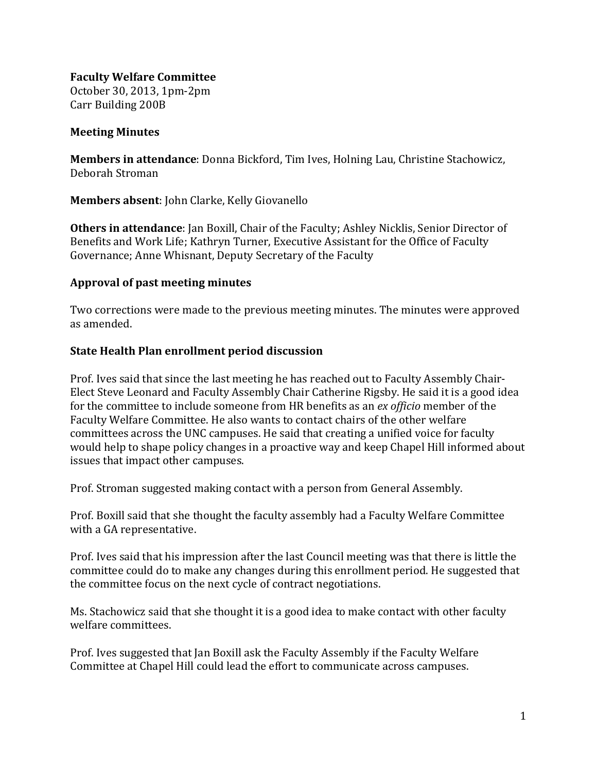**Faculty Welfare Committee** October 30, 2013, 1pm-2pm Carr Building 200B

## **Meeting Minutes**

**Members in attendance**: Donna Bickford, Tim Ives, Holning Lau, Christine Stachowicz, Deborah Stroman 

**Members absent:** John Clarke, Kelly Giovanello

**Others in attendance**: [an Boxil], Chair of the Faculty; Ashley Nicklis, Senior Director of Benefits and Work Life; Kathryn Turner, Executive Assistant for the Office of Faculty Governance; Anne Whisnant, Deputy Secretary of the Faculty

## **Approval of past meeting minutes**

Two corrections were made to the previous meeting minutes. The minutes were approved as amended.

## **State Health Plan enrollment period discussion**

Prof. Ives said that since the last meeting he has reached out to Faculty Assembly Chair-Elect Steve Leonard and Faculty Assembly Chair Catherine Rigsby. He said it is a good idea for the committee to include someone from HR benefits as an *ex officio* member of the Faculty Welfare Committee. He also wants to contact chairs of the other welfare committees across the UNC campuses. He said that creating a unified voice for faculty would help to shape policy changes in a proactive way and keep Chapel Hill informed about issues that impact other campuses.

Prof. Stroman suggested making contact with a person from General Assembly.

Prof. Boxill said that she thought the faculty assembly had a Faculty Welfare Committee with a GA representative.

Prof. Ives said that his impression after the last Council meeting was that there is little the committee could do to make any changes during this enrollment period. He suggested that the committee focus on the next cycle of contract negotiations.

Ms. Stachowicz said that she thought it is a good idea to make contact with other faculty welfare committees.

Prof. Ives suggested that Jan Boxill ask the Faculty Assembly if the Faculty Welfare Committee at Chapel Hill could lead the effort to communicate across campuses.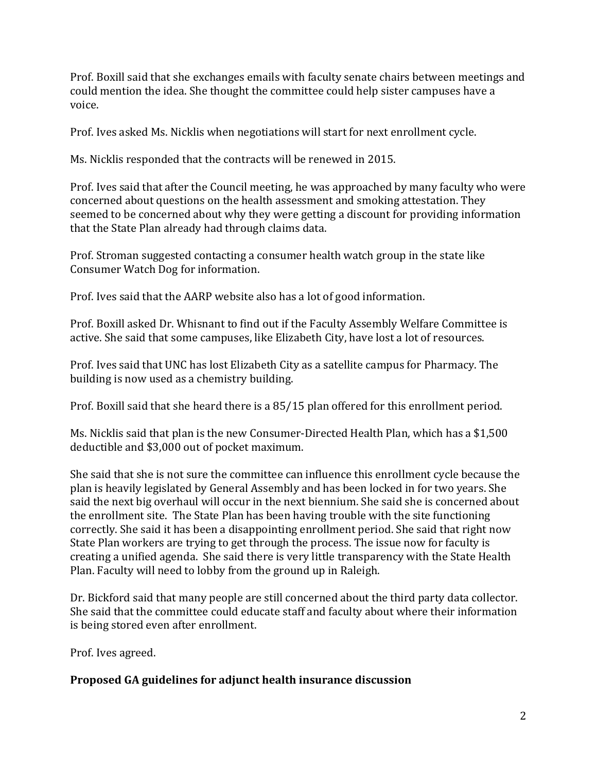Prof. Boxill said that she exchanges emails with faculty senate chairs between meetings and could mention the idea. She thought the committee could help sister campuses have a voice. 

Prof. Ives asked Ms. Nicklis when negotiations will start for next enrollment cycle.

Ms. Nicklis responded that the contracts will be renewed in 2015.

Prof. Ives said that after the Council meeting, he was approached by many faculty who were concerned about questions on the health assessment and smoking attestation. They seemed to be concerned about why they were getting a discount for providing information that the State Plan already had through claims data.

Prof. Stroman suggested contacting a consumer health watch group in the state like Consumer Watch Dog for information.

Prof. Ives said that the AARP website also has a lot of good information.

Prof. Boxill asked Dr. Whisnant to find out if the Faculty Assembly Welfare Committee is active. She said that some campuses, like Elizabeth City, have lost a lot of resources.

Prof. Ives said that UNC has lost Elizabeth City as a satellite campus for Pharmacy. The building is now used as a chemistry building.

Prof. Boxill said that she heard there is a 85/15 plan offered for this enrollment period.

Ms. Nicklis said that plan is the new Consumer-Directed Health Plan, which has a \$1,500 deductible and \$3,000 out of pocket maximum.

She said that she is not sure the committee can influence this enrollment cycle because the plan is heavily legislated by General Assembly and has been locked in for two years. She said the next big overhaul will occur in the next biennium. She said she is concerned about the enrollment site. The State Plan has been having trouble with the site functioning correctly. She said it has been a disappointing enrollment period. She said that right now State Plan workers are trying to get through the process. The issue now for faculty is creating a unified agenda. She said there is very little transparency with the State Health Plan. Faculty will need to lobby from the ground up in Raleigh.

Dr. Bickford said that many people are still concerned about the third party data collector. She said that the committee could educate staff and faculty about where their information is being stored even after enrollment.

Prof. Ives agreed.

## **Proposed GA guidelines for adjunct health insurance discussion**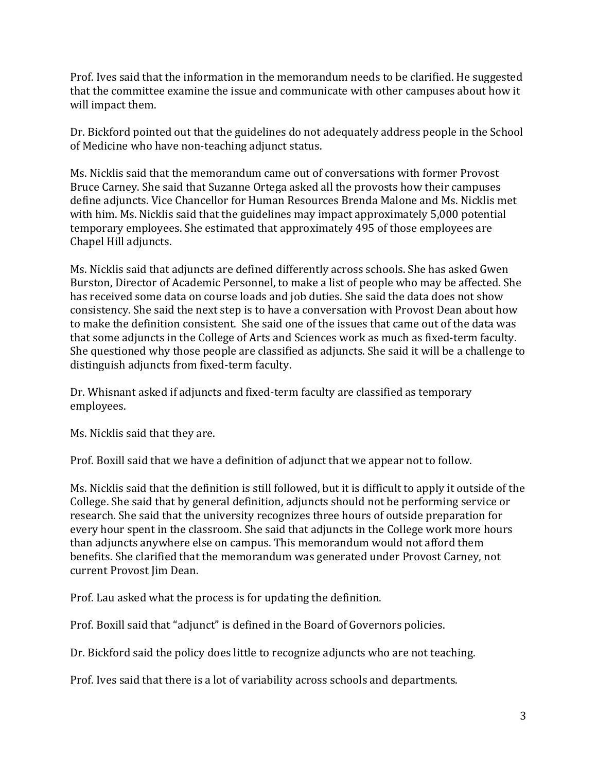Prof. Ives said that the information in the memorandum needs to be clarified. He suggested that the committee examine the issue and communicate with other campuses about how it will impact them.

Dr. Bickford pointed out that the guidelines do not adequately address people in the School of Medicine who have non-teaching adjunct status.

Ms. Nicklis said that the memorandum came out of conversations with former Provost Bruce Carney. She said that Suzanne Ortega asked all the provosts how their campuses define adjuncts. Vice Chancellor for Human Resources Brenda Malone and Ms. Nicklis met with him. Ms. Nicklis said that the guidelines may impact approximately 5,000 potential temporary employees. She estimated that approximately 495 of those employees are Chapel Hill adjuncts.

Ms. Nicklis said that adjuncts are defined differently across schools. She has asked Gwen Burston, Director of Academic Personnel, to make a list of people who may be affected. She has received some data on course loads and job duties. She said the data does not show consistency. She said the next step is to have a conversation with Provost Dean about how to make the definition consistent. She said one of the issues that came out of the data was that some adjuncts in the College of Arts and Sciences work as much as fixed-term faculty. She questioned why those people are classified as adjuncts. She said it will be a challenge to distinguish adjuncts from fixed-term faculty.

Dr. Whisnant asked if adjuncts and fixed-term faculty are classified as temporary employees. 

Ms. Nicklis said that they are.

Prof. Boxill said that we have a definition of adjunct that we appear not to follow.

Ms. Nicklis said that the definition is still followed, but it is difficult to apply it outside of the College. She said that by general definition, adjuncts should not be performing service or research. She said that the university recognizes three hours of outside preparation for every hour spent in the classroom. She said that adjuncts in the College work more hours than adjuncts anywhere else on campus. This memorandum would not afford them benefits. She clarified that the memorandum was generated under Provost Carney, not current Provost Iim Dean.

Prof. Lau asked what the process is for updating the definition.

Prof. Boxill said that "adjunct" is defined in the Board of Governors policies.

Dr. Bickford said the policy does little to recognize adjuncts who are not teaching.

Prof. Ives said that there is a lot of variability across schools and departments.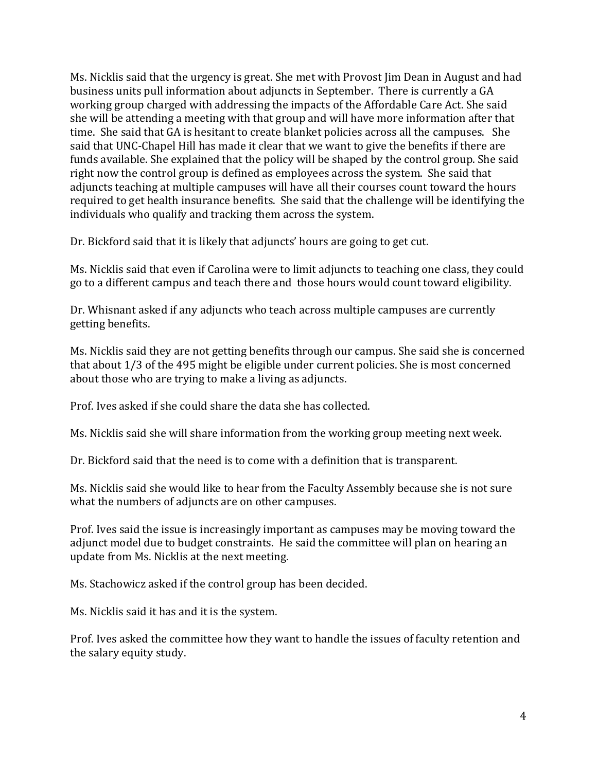Ms. Nicklis said that the urgency is great. She met with Provost I im Dean in August and had business units pull information about adjuncts in September. There is currently a GA working group charged with addressing the impacts of the Affordable Care Act. She said she will be attending a meeting with that group and will have more information after that time. She said that GA is hesitant to create blanket policies across all the campuses. She said that UNC-Chapel Hill has made it clear that we want to give the benefits if there are funds available. She explained that the policy will be shaped by the control group. She said right now the control group is defined as employees across the system. She said that adjuncts teaching at multiple campuses will have all their courses count toward the hours required to get health insurance benefits. She said that the challenge will be identifying the individuals who qualify and tracking them across the system.

Dr. Bickford said that it is likely that adjuncts' hours are going to get cut.

Ms. Nicklis said that even if Carolina were to limit adjuncts to teaching one class, they could go to a different campus and teach there and those hours would count toward eligibility.

Dr. Whisnant asked if any adjuncts who teach across multiple campuses are currently getting benefits.

Ms. Nicklis said they are not getting benefits through our campus. She said she is concerned that about  $1/3$  of the 495 might be eligible under current policies. She is most concerned about those who are trying to make a living as adjuncts.

Prof. Ives asked if she could share the data she has collected.

Ms. Nicklis said she will share information from the working group meeting next week.

Dr. Bickford said that the need is to come with a definition that is transparent.

Ms. Nicklis said she would like to hear from the Faculty Assembly because she is not sure what the numbers of adjuncts are on other campuses.

Prof. Ives said the issue is increasingly important as campuses may be moving toward the adjunct model due to budget constraints. He said the committee will plan on hearing an update from Ms. Nicklis at the next meeting.

Ms. Stachowicz asked if the control group has been decided.

Ms. Nicklis said it has and it is the system.

Prof. Ives asked the committee how they want to handle the issues of faculty retention and the salary equity study.